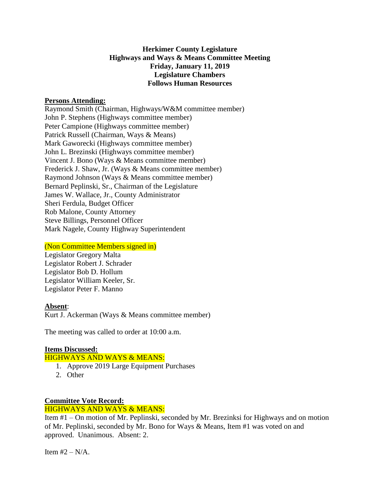## **Herkimer County Legislature Highways and Ways & Means Committee Meeting Friday, January 11, 2019 Legislature Chambers Follows Human Resources**

#### **Persons Attending:**

Raymond Smith (Chairman, Highways/W&M committee member) John P. Stephens (Highways committee member) Peter Campione (Highways committee member) Patrick Russell (Chairman, Ways & Means) Mark Gaworecki (Highways committee member) John L. Brezinski (Highways committee member) Vincent J. Bono (Ways & Means committee member) Frederick J. Shaw, Jr. (Ways & Means committee member) Raymond Johnson (Ways & Means committee member) Bernard Peplinski, Sr., Chairman of the Legislature James W. Wallace, Jr., County Administrator Sheri Ferdula, Budget Officer Rob Malone, County Attorney Steve Billings, Personnel Officer Mark Nagele, County Highway Superintendent

#### (Non Committee Members signed in)

Legislator Gregory Malta Legislator Robert J. Schrader Legislator Bob D. Hollum Legislator William Keeler, Sr. Legislator Peter F. Manno

#### **Absent**:

Kurt J. Ackerman (Ways & Means committee member)

The meeting was called to order at 10:00 a.m.

# **Items Discussed:**

## HIGHWAYS AND WAYS & MEANS:

- 1. Approve 2019 Large Equipment Purchases
- 2. Other

### **Committee Vote Record:** HIGHWAYS AND WAYS & MEANS:

Item #1 – On motion of Mr. Peplinski, seconded by Mr. Brezinksi for Highways and on motion of Mr. Peplinski, seconded by Mr. Bono for Ways & Means, Item #1 was voted on and approved. Unanimous. Absent: 2.

Item  $#2 - N/A$ .